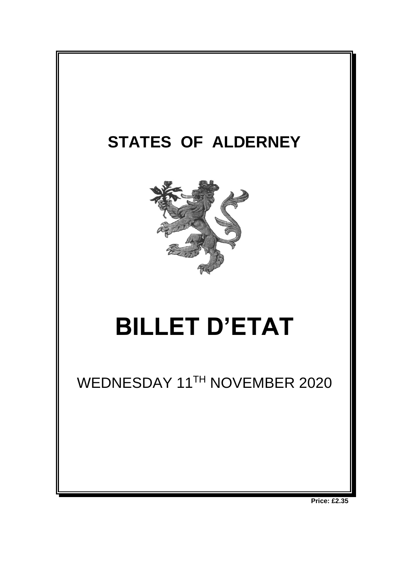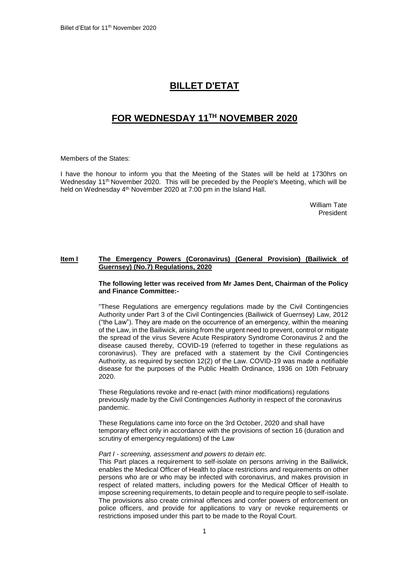# **BILLET D'ETAT**

# **FOR WEDNESDAY 11 TH NOVEMBER 2020**

Members of the States:

I have the honour to inform you that the Meeting of the States will be held at 1730hrs on Wednesday 11<sup>th</sup> November 2020. This will be preceded by the People's Meeting, which will be held on Wednesday 4<sup>th</sup> November 2020 at 7:00 pm in the Island Hall.

> William Tate President

## **Item I The Emergency Powers (Coronavirus) (General Provision) (Bailiwick of Guernsey) (No.7) Regulations, 2020**

## **The following letter was received from Mr James Dent, Chairman of the Policy and Finance Committee:-**

"These Regulations are emergency regulations made by the Civil Contingencies Authority under Part 3 of the Civil Contingencies (Bailiwick of Guernsey) Law, 2012 ("the Law"). They are made on the occurrence of an emergency, within the meaning of the Law, in the Bailiwick, arising from the urgent need to prevent, control or mitigate the spread of the virus Severe Acute Respiratory Syndrome Coronavirus 2 and the disease caused thereby, COVID-19 (referred to together in these regulations as coronavirus). They are prefaced with a statement by the Civil Contingencies Authority, as required by section 12(2) of the Law. COVID-19 was made a notifiable disease for the purposes of the Public Health Ordinance, 1936 on 10th February 2020.

These Regulations revoke and re-enact (with minor modifications) regulations previously made by the Civil Contingencies Authority in respect of the coronavirus pandemic.

These Regulations came into force on the 3rd October, 2020 and shall have temporary effect only in accordance with the provisions of section 16 (duration and scrutiny of emergency regulations) of the Law

#### *Part I - screening, assessment and powers to detain etc.*

This Part places a requirement to self-isolate on persons arriving in the Bailiwick, enables the Medical Officer of Health to place restrictions and requirements on other persons who are or who may be infected with coronavirus, and makes provision in respect of related matters, including powers for the Medical Officer of Health to impose screening requirements, to detain people and to require people to self-isolate. The provisions also create criminal offences and confer powers of enforcement on police officers, and provide for applications to vary or revoke requirements or restrictions imposed under this part to be made to the Royal Court.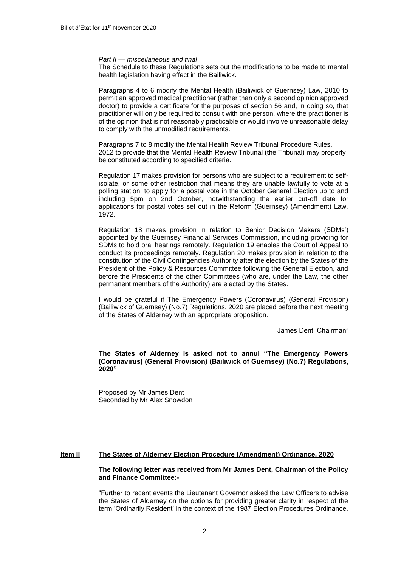#### *Part II — miscellaneous and final*

The Schedule to these Regulations sets out the modifications to be made to mental health legislation having effect in the Bailiwick.

Paragraphs 4 to 6 modify the Mental Health (Bailiwick of Guernsey) Law, 2010 to permit an approved medical practitioner (rather than only a second opinion approved doctor) to provide a certificate for the purposes of section 56 and, in doing so, that practitioner will only be required to consult with one person, where the practitioner is of the opinion that is not reasonably practicable or would involve unreasonable delay to comply with the unmodified requirements.

Paragraphs 7 to 8 modify the Mental Health Review Tribunal Procedure Rules, 2012 to provide that the Mental Health Review Tribunal (the Tribunal) may properly be constituted according to specified criteria.

Regulation 17 makes provision for persons who are subject to a requirement to selfisolate, or some other restriction that means they are unable lawfully to vote at a polling station, to apply for a postal vote in the October General Election up to and including 5pm on 2nd October, notwithstanding the earlier cut-off date for applications for postal votes set out in the Reform (Guernsey) (Amendment) Law, 1972.

Regulation 18 makes provision in relation to Senior Decision Makers (SDMs') appointed by the Guernsey Financial Services Commission, including providing for SDMs to hold oral hearings remotely. Regulation 19 enables the Court of Appeal to conduct its proceedings remotely. Regulation 20 makes provision in relation to the constitution of the Civil Contingencies Authority after the election by the States of the President of the Policy & Resources Committee following the General Election, and before the Presidents of the other Committees (who are, under the Law, the other permanent members of the Authority) are elected by the States.

I would be grateful if The Emergency Powers (Coronavirus) (General Provision) (Bailiwick of Guernsey) (No.7) Regulations, 2020 are placed before the next meeting of the States of Alderney with an appropriate proposition.

James Dent, Chairman"

**The States of Alderney is asked not to annul "The Emergency Powers (Coronavirus) (General Provision) (Bailiwick of Guernsey) (No.7) Regulations, 2020"**

Proposed by Mr James Dent Seconded by Mr Alex Snowdon

### **Item II The States of Alderney Election Procedure (Amendment) Ordinance, 2020**

### **The following letter was received from Mr James Dent, Chairman of the Policy and Finance Committee:-**

"Further to recent events the Lieutenant Governor asked the Law Officers to advise the States of Alderney on the options for providing greater clarity in respect of the term 'Ordinarily Resident' in the context of the 1987 Election Procedures Ordinance.